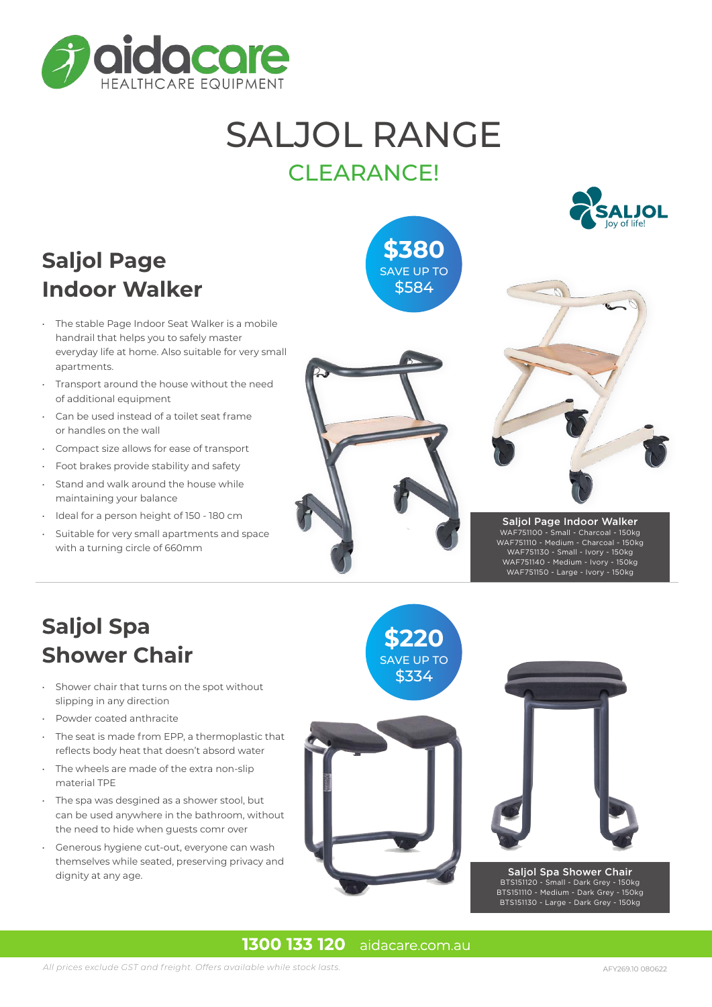

## SALJOL RANGE CLEARANCE!

**\$380** SAVE UP TO \$584

## **Saljol Page Indoor Walker**

- The stable Page Indoor Seat Walker is a mobile handrail that helps you to safely master everyday life at home. Also suitable for very small apartments.
- Transport around the house without the need of additional equipment
- Can be used instead of a toilet seat frame or handles on the wall
- Compact size allows for ease of transport
- Foot brakes provide stability and safety
- Stand and walk around the house while maintaining your balance
- Ideal for a person height of 150 180 cm
- Suitable for very small apartments and space with a turning circle of 660mm







Saljol Page Indoor Walker WAF751100 - Small - Charcoal - 150kg WAF751110 - Medium - Charcoal - 150kg WAF751130 - Small - Ivory - 150kg WAF751140 - Medium - Ivory - 150kg WAF751150 - Large - Ivory - 150kg

### **Saljol Spa Shower Chair**

- Shower chair that turns on the spot without slipping in any direction
- Powder coated anthracite
- The seat is made from EPP, a thermoplastic that reflects body heat that doesn't absord water
- The wheels are made of the extra non-slip material TPE
- The spa was desgined as a shower stool, but can be used anywhere in the bathroom, without the need to hide when guests comr over
- Generous hygiene cut-out, everyone can wash themselves while seated, preserving privacy and dignity at any age.



**\$220**



#### Saljol Spa Shower Chair BTS151120 - Small - Dark Grey - 150kg BTS151110 - Medium - Dark Grey - 150kg BTS151130 - Large - Dark Grey - 150kg

#### 1300 133 120 aidacare.com.au